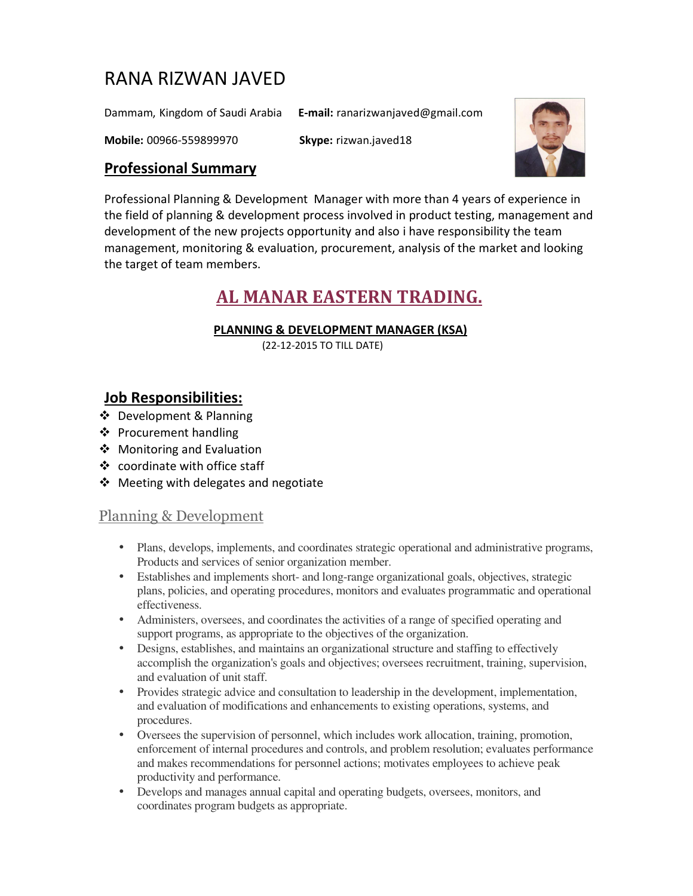# RANA RIZWAN JAVED

Dammam, Kingdom of Saudi Arabia **E-mail:** ranarizwanjaved@gmail.com

**Mobile:** 00966-559899970 **Skype:** rizwan.javed18



# **Professional Summary**

Professional Planning & Development Manager with more than 4 years of experience in the field of planning & development process involved in product testing, management and development of the new projects opportunity and also i have responsibility the team management, monitoring & evaluation, procurement, analysis of the market and looking the target of team members.

# **AL MANAR EASTERN TRADING.**

### **PLANNING & DEVELOPMENT MANAGER (KSA)**

(22-12-2015 TO TILL DATE)

# **Job Responsibilities:**

- Development & Planning
- ❖ Procurement handling
- ❖ Monitoring and Evaluation
- coordinate with office staff
- ❖ Meeting with delegates and negotiate

# Planning & Development

- Plans, develops, implements, and coordinates strategic operational and administrative programs, Products and services of senior organization member.
- Establishes and implements short- and long-range organizational goals, objectives, strategic plans, policies, and operating procedures, monitors and evaluates programmatic and operational effectiveness.
- Administers, oversees, and coordinates the activities of a range of specified operating and support programs, as appropriate to the objectives of the organization.
- Designs, establishes, and maintains an organizational structure and staffing to effectively accomplish the organization's goals and objectives; oversees recruitment, training, supervision, and evaluation of unit staff.
- Provides strategic advice and consultation to leadership in the development, implementation, and evaluation of modifications and enhancements to existing operations, systems, and procedures.
- Oversees the supervision of personnel, which includes work allocation, training, promotion, enforcement of internal procedures and controls, and problem resolution; evaluates performance and makes recommendations for personnel actions; motivates employees to achieve peak productivity and performance.
- Develops and manages annual capital and operating budgets, oversees, monitors, and coordinates program budgets as appropriate.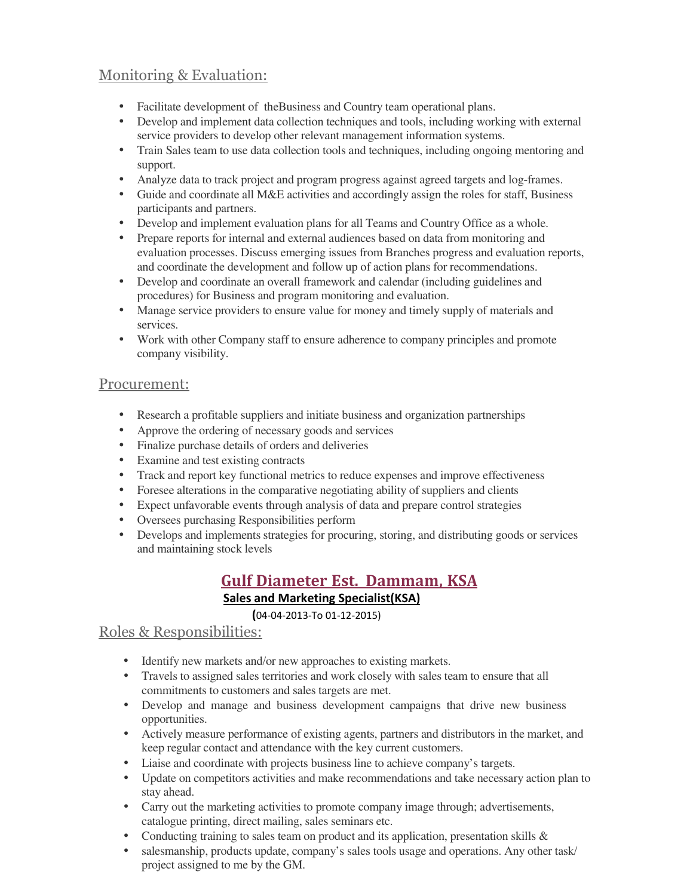# Monitoring & Evaluation:

- Facilitate development of theBusiness and Country team operational plans.
- Develop and implement data collection techniques and tools, including working with external service providers to develop other relevant management information systems.
- Train Sales team to use data collection tools and techniques, including ongoing mentoring and support.
- Analyze data to track project and program progress against agreed targets and log-frames.
- Guide and coordinate all M&E activities and accordingly assign the roles for staff. Business participants and partners.
- Develop and implement evaluation plans for all Teams and Country Office as a whole.
- Prepare reports for internal and external audiences based on data from monitoring and evaluation processes. Discuss emerging issues from Branches progress and evaluation reports, and coordinate the development and follow up of action plans for recommendations.
- Develop and coordinate an overall framework and calendar (including guidelines and procedures) for Business and program monitoring and evaluation.
- Manage service providers to ensure value for money and timely supply of materials and services.
- Work with other Company staff to ensure adherence to company principles and promote company visibility.

# Procurement:

- Research a profitable suppliers and initiate business and organization partnerships
- Approve the ordering of necessary goods and services
- Finalize purchase details of orders and deliveries
- Examine and test existing contracts
- Track and report key functional metrics to reduce expenses and improve effectiveness
- Foresee alterations in the comparative negotiating ability of suppliers and clients
- Expect unfavorable events through analysis of data and prepare control strategies
- Oversees purchasing Responsibilities perform
- Develops and implements strategies for procuring, storing, and distributing goods or services and maintaining stock levels

# **Gulf Diameter Est. Dammam, KSA Sales and Marketing Specialist(KSA)**

#### **(**04-04-2013-To 01-12-2015)

# Roles & Responsibilities:

- Identify new markets and/or new approaches to existing markets.
- Travels to assigned sales territories and work closely with sales team to ensure that all commitments to customers and sales targets are met.
- Develop and manage and business development campaigns that drive new business opportunities.
- Actively measure performance of existing agents, partners and distributors in the market, and keep regular contact and attendance with the key current customers.
- Liaise and coordinate with projects business line to achieve company's targets.
- Update on competitors activities and make recommendations and take necessary action plan to stay ahead.
- Carry out the marketing activities to promote company image through; advertisements, catalogue printing, direct mailing, sales seminars etc.
- Conducting training to sales team on product and its application, presentation skills  $\&$
- salesmanship, products update, company's sales tools usage and operations. Any other task/ project assigned to me by the GM.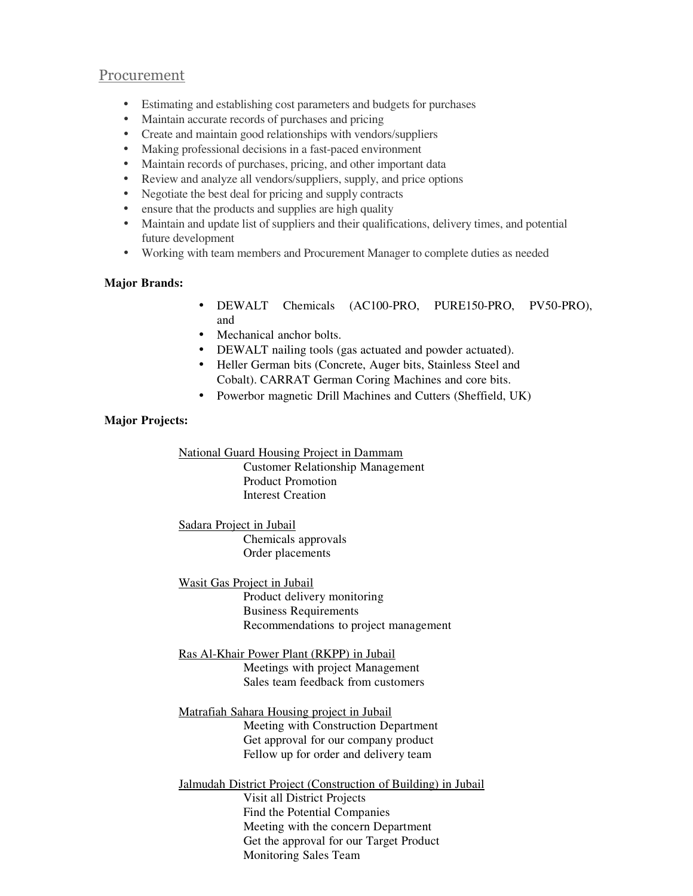#### Procurement

- Estimating and establishing cost parameters and budgets for purchases
- Maintain accurate records of purchases and pricing
- Create and maintain good relationships with vendors/suppliers
- Making professional decisions in a fast-paced environment
- Maintain records of purchases, pricing, and other important data
- Review and analyze all vendors/suppliers, supply, and price options
- Negotiate the best deal for pricing and supply contracts
- ensure that the products and supplies are high quality
- Maintain and update list of suppliers and their qualifications, delivery times, and potential future development
- Working with team members and Procurement Manager to complete duties as needed

#### **Major Brands:**

- DEWALT Chemicals (AC100-PRO, PURE150-PRO, PV50-PRO), and
- Mechanical anchor bolts.
- DEWALT nailing tools (gas actuated and powder actuated).
- Heller German bits (Concrete, Auger bits, Stainless Steel and Cobalt). CARRAT German Coring Machines and core bits.
- Powerbor magnetic Drill Machines and Cutters (Sheffield, UK)

#### **Major Projects:**

National Guard Housing Project in Dammam

 Customer Relationship Management Product Promotion Interest Creation

Sadara Project in Jubail Chemicals approvals Order placements

Wasit Gas Project in Jubail

 Product delivery monitoring Business Requirements Recommendations to project management

Ras Al-Khair Power Plant (RKPP) in Jubail Meetings with project Management Sales team feedback from customers

Matrafiah Sahara Housing project in Jubail Meeting with Construction Department Get approval for our company product Fellow up for order and delivery team

Jalmudah District Project (Construction of Building) in Jubail Visit all District Projects Find the Potential Companies Meeting with the concern Department Get the approval for our Target Product Monitoring Sales Team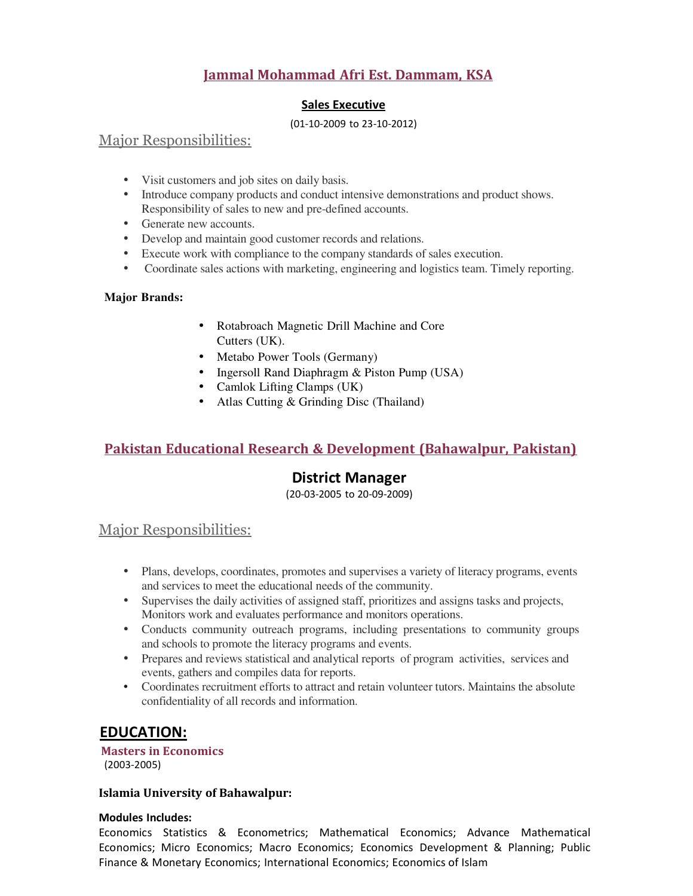# **Jammal Mohammad Afri Est. Dammam, KSA**

#### **Sales Executive**

#### (01-10-2009 to 23-10-2012)

### Major Responsibilities:

- Visit customers and job sites on daily basis.
- Introduce company products and conduct intensive demonstrations and product shows. Responsibility of sales to new and pre-defined accounts.
- Generate new accounts.
- Develop and maintain good customer records and relations.
- Execute work with compliance to the company standards of sales execution.
- Coordinate sales actions with marketing, engineering and logistics team. Timely reporting.

#### **Major Brands:**

- Rotabroach Magnetic Drill Machine and Core Cutters (UK).
- Metabo Power Tools (Germany)
- Ingersoll Rand Diaphragm & Piston Pump (USA)
- Camlok Lifting Clamps (UK)
- Atlas Cutting & Grinding Disc (Thailand)

### **Pakistan Educational Research & Development (Bahawalpur, Pakistan)**

### **District Manager**

(20-03-2005 to 20-09-2009)

### Major Responsibilities:

- Plans, develops, coordinates, promotes and supervises a variety of literacy programs, events and services to meet the educational needs of the community.
- Supervises the daily activities of assigned staff, prioritizes and assigns tasks and projects, Monitors work and evaluates performance and monitors operations.
- Conducts community outreach programs, including presentations to community groups and schools to promote the literacy programs and events.
- Prepares and reviews statistical and analytical reports of program activities, services and events, gathers and compiles data for reports.
- Coordinates recruitment efforts to attract and retain volunteer tutors. Maintains the absolute confidentiality of all records and information.

# **EDUCATION:**

#### **Masters in Economics** (2003-2005)

#### **Islamia University of Bahawalpur:**

#### **Modules Includes:**

Economics Statistics & Econometrics; Mathematical Economics; Advance Mathematical Economics; Micro Economics; Macro Economics; Economics Development & Planning; Public Finance & Monetary Economics; International Economics; Economics of Islam